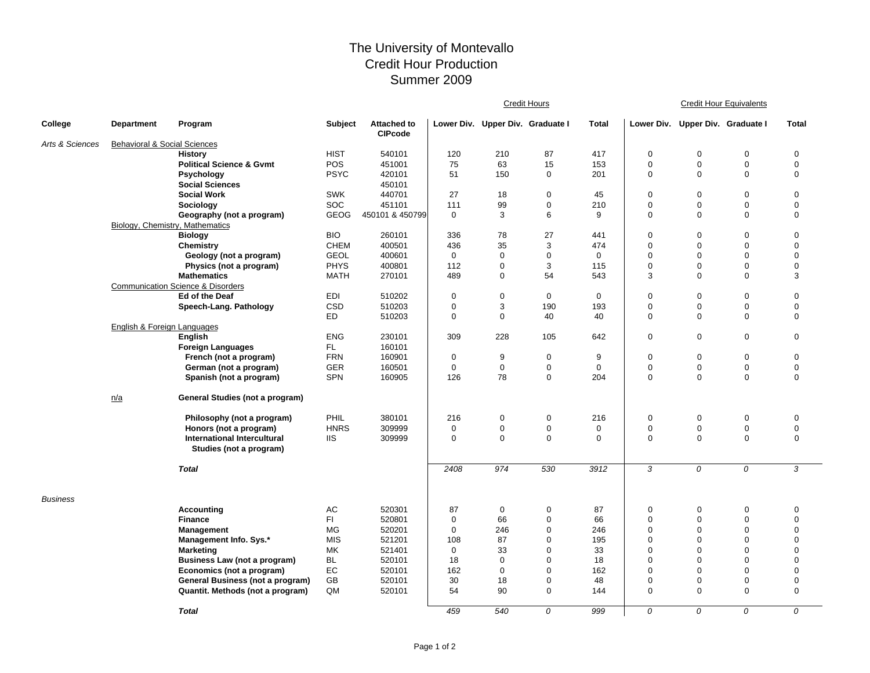## The University of Montevallo Credit Hour Production Summer 2009

|                 |                                         |                                                                |             |                                      | <b>Credit Hours</b> |                                  |             |             | <b>Credit Hour Equivalents</b> |                                  |                  |                               |  |
|-----------------|-----------------------------------------|----------------------------------------------------------------|-------------|--------------------------------------|---------------------|----------------------------------|-------------|-------------|--------------------------------|----------------------------------|------------------|-------------------------------|--|
| College         | Department                              | Program                                                        | Subject     | <b>Attached to</b><br><b>CIPcode</b> |                     | Lower Div. Upper Div. Graduate I |             | Total       |                                | Lower Div. Upper Div. Graduate I |                  | <b>Total</b>                  |  |
| Arts & Sciences | <b>Behavioral &amp; Social Sciences</b> |                                                                |             |                                      |                     |                                  |             |             |                                |                                  |                  |                               |  |
|                 |                                         | <b>History</b>                                                 | <b>HIST</b> | 540101                               | 120                 | 210                              | 87          | 417         | $\mathbf 0$                    | $\mathbf 0$                      | $\mathbf 0$      | $\mathbf 0$                   |  |
|                 |                                         | <b>Political Science &amp; Gvmt</b>                            | <b>POS</b>  | 451001                               | 75                  | 63                               | 15          | 153         | $\mathbf 0$                    | $\mathbf 0$                      | $\mathbf 0$      | $\mathbf 0$                   |  |
|                 |                                         | Psychology                                                     | <b>PSYC</b> | 420101                               | 51                  | 150                              | 0           | 201         | $\mathbf 0$                    | $\mathbf 0$                      | 0                | $\mathbf 0$                   |  |
|                 |                                         | <b>Social Sciences</b>                                         |             | 450101                               |                     |                                  |             |             |                                |                                  |                  |                               |  |
|                 |                                         | <b>Social Work</b>                                             | <b>SWK</b>  | 440701                               | 27                  | 18                               | 0           | 45          | $\mathbf 0$                    | $\mathbf 0$                      | $\mathbf 0$      | $\boldsymbol{0}$              |  |
|                 |                                         | Sociology                                                      | <b>SOC</b>  | 451101                               | 111                 | 99                               | 0           | 210         | $\mathbf 0$                    | $\mathbf 0$                      | 0                | $\mathbf 0$                   |  |
|                 |                                         | Geography (not a program)                                      | <b>GEOG</b> | 450101 & 450799                      | $\mathbf 0$         | 3                                | 6           | 9           | $\mathbf 0$                    | $\mathbf 0$                      | $\mathbf 0$      | $\mathbf 0$                   |  |
|                 | Biology, Chemistry, Mathematics         |                                                                |             |                                      |                     |                                  |             |             |                                |                                  |                  |                               |  |
|                 |                                         | <b>Biology</b>                                                 | <b>BIO</b>  | 260101                               | 336                 | 78                               | 27          | 441         | $\mathbf 0$                    | $\mathbf 0$                      | 0                | 0                             |  |
|                 |                                         | <b>Chemistry</b>                                               | <b>CHEM</b> | 400501                               | 436                 | 35                               | 3           | 474         | $\mathbf 0$                    | $\mathbf 0$                      | 0                | 0                             |  |
|                 |                                         | Geology (not a program)                                        | <b>GEOL</b> | 400601                               | $\mathbf 0$         | 0                                | 0           | $\mathbf 0$ | $\mathbf 0$                    | $\mathbf 0$                      | 0                | 0                             |  |
|                 |                                         | Physics (not a program)                                        | <b>PHYS</b> | 400801                               | 112                 | 0                                | 3           | 115         | $\mathbf 0$                    | $\mathbf 0$                      | 0                | $\mathbf 0$                   |  |
|                 |                                         | <b>Mathematics</b>                                             | <b>MATH</b> | 270101                               | 489                 | 0                                | 54          | 543         | 3                              | $\mathbf 0$                      | 0                | 3                             |  |
|                 |                                         | <b>Communication Science &amp; Disorders</b><br>Ed of the Deaf | <b>EDI</b>  | 510202                               | $\mathbf 0$         | 0                                | $\mathbf 0$ | $\mathbf 0$ | $\mathbf 0$                    | $\mathbf 0$                      | 0                | $\mathbf 0$                   |  |
|                 |                                         | Speech-Lang. Pathology                                         | CSD         | 510203                               | $\mathbf 0$         | 3                                | 190         | 193         | $\mathbf 0$                    | $\mathbf 0$                      | 0                | $\mathbf 0$                   |  |
|                 |                                         |                                                                | <b>ED</b>   | 510203                               | $\Omega$            | 0                                | 40          | 40          | $\mathbf 0$                    | $\Omega$                         | 0                | 0                             |  |
|                 | English & Foreign Languages             |                                                                |             |                                      |                     |                                  |             |             |                                |                                  |                  |                               |  |
|                 |                                         | English                                                        | <b>ENG</b>  | 230101                               | 309                 | 228                              | 105         | 642         | $\mathbf 0$                    | $\mathbf 0$                      | $\boldsymbol{0}$ | $\mathbf 0$                   |  |
|                 |                                         | <b>Foreign Languages</b>                                       | FL.         | 160101                               |                     |                                  |             |             |                                |                                  |                  |                               |  |
|                 |                                         | French (not a program)                                         | <b>FRN</b>  | 160901                               | $\mathbf 0$         | 9                                | 0           | 9           | $\mathbf 0$                    | 0                                | $\mathbf 0$      | $\mathbf 0$                   |  |
|                 |                                         | German (not a program)                                         | <b>GER</b>  | 160501                               | $\mathbf 0$         | 0                                | 0           | $\mathbf 0$ | $\mathbf 0$                    | $\mathbf 0$                      | $\mathbf 0$      | $\boldsymbol{0}$              |  |
|                 |                                         | Spanish (not a program)                                        | <b>SPN</b>  | 160905                               | 126                 | 78                               | 0           | 204         | $\mathbf 0$                    | $\mathbf 0$                      | 0                | 0                             |  |
|                 |                                         |                                                                |             |                                      |                     |                                  |             |             |                                |                                  |                  |                               |  |
|                 | n/a                                     | General Studies (not a program)                                |             |                                      |                     |                                  |             |             |                                |                                  |                  |                               |  |
|                 |                                         | Philosophy (not a program)                                     | PHIL        | 380101                               | 216                 | 0                                | 0           | 216         | $\mathbf 0$                    | $\mathbf 0$                      | $\mathbf 0$      | $\mathbf 0$                   |  |
|                 |                                         | Honors (not a program)                                         | <b>HNRS</b> | 309999                               | 0                   | 0                                | 0           | $\mathbf 0$ | $\mathbf 0$                    | 0                                | 0                | $\mathbf 0$                   |  |
|                 |                                         | <b>International Intercultural</b><br>Studies (not a program)  | <b>IIS</b>  | 309999                               | $\mathbf 0$         | 0                                | 0           | $\mathbf 0$ | $\mathbf 0$                    | $\mathbf 0$                      | 0                | 0                             |  |
|                 |                                         | <b>Total</b>                                                   |             |                                      | 2408                | 974                              | 530         | 3912        | 3                              | 0                                | 0                | 3                             |  |
| <b>Business</b> |                                         |                                                                |             |                                      |                     |                                  |             |             |                                |                                  |                  |                               |  |
|                 |                                         | <b>Accounting</b>                                              | AC          | 520301                               | 87                  | 0                                | 0           | 87          | 0                              | 0                                | 0                | 0                             |  |
|                 |                                         | <b>Finance</b>                                                 | FI.         | 520801                               | $\mathbf 0$         | 66                               | 0           | 66          | $\mathbf 0$                    | $\mathbf 0$                      | 0                | $\mathbf 0$                   |  |
|                 |                                         | Management                                                     | MG          | 520201                               | $\mathbf 0$         | 246                              | 0           | 246         | $\mathbf 0$                    | $\mathbf 0$                      | $\Omega$         | $\mathbf 0$                   |  |
|                 |                                         | <b>Management Info. Sys.*</b>                                  | <b>MIS</b>  | 521201                               | 108                 | 87                               | 0           | 195         | $\mathbf 0$                    | $\mathbf 0$                      | $\Omega$         | $\mathbf 0$                   |  |
|                 |                                         | <b>Marketing</b>                                               | MK          | 521401                               | 0                   | 33                               | 0           | 33          | $\mathbf 0$                    | 0                                | 0<br>$\Omega$    | $\mathbf 0$<br>$\overline{0}$ |  |
|                 |                                         | Business Law (not a program)                                   | BL<br>EC    | 520101                               | 18<br>162           | 0<br>0                           | 0<br>0      | 18<br>162   | $\mathbf 0$<br>$\mathbf 0$     | $\mathbf 0$<br>$\mathbf 0$       | $\Omega$         | $\overline{0}$                |  |
|                 |                                         | Economics (not a program)                                      | GB          | 520101                               | 30                  | 18                               | 0           | 48          | $\mathbf 0$                    | $\mathbf 0$                      | $\Omega$         | $\mathbf 0$                   |  |
|                 |                                         | General Business (not a program)                               | QM          | 520101<br>520101                     | 54                  | 90                               | 0           | 144         | $\mathbf 0$                    | $\mathbf 0$                      | 0                | $\boldsymbol{0}$              |  |
|                 |                                         | Quantit. Methods (not a program)                               |             |                                      |                     |                                  |             |             |                                |                                  |                  |                               |  |
|                 |                                         | <b>Total</b>                                                   |             |                                      | 459                 | 540                              | 0           | 999         | $\Omega$                       | $\Omega$                         | $\Omega$         | 0                             |  |